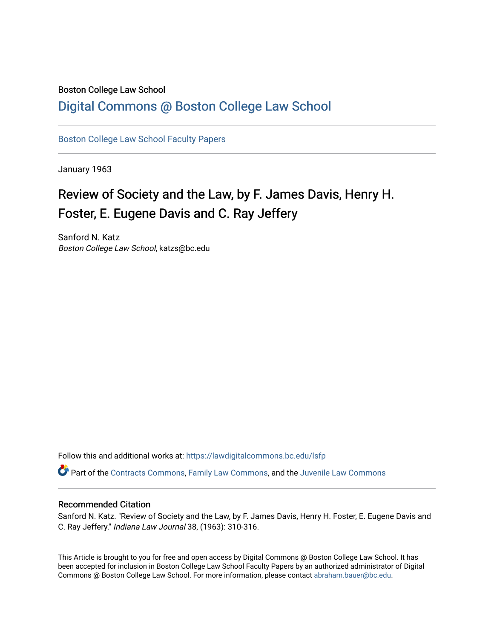### Boston College Law School

## [Digital Commons @ Boston College Law School](https://lawdigitalcommons.bc.edu/)

[Boston College Law School Faculty Papers](https://lawdigitalcommons.bc.edu/lsfp) 

January 1963

# Review of Society and the Law, by F. James Davis, Henry H. Foster, E. Eugene Davis and C. Ray Jeffery

Sanford N. Katz Boston College Law School, katzs@bc.edu

Follow this and additional works at: [https://lawdigitalcommons.bc.edu/lsfp](https://lawdigitalcommons.bc.edu/lsfp?utm_source=lawdigitalcommons.bc.edu%2Flsfp%2F567&utm_medium=PDF&utm_campaign=PDFCoverPages) 

Part of the [Contracts Commons](http://network.bepress.com/hgg/discipline/591?utm_source=lawdigitalcommons.bc.edu%2Flsfp%2F567&utm_medium=PDF&utm_campaign=PDFCoverPages), [Family Law Commons](http://network.bepress.com/hgg/discipline/602?utm_source=lawdigitalcommons.bc.edu%2Flsfp%2F567&utm_medium=PDF&utm_campaign=PDFCoverPages), and the [Juvenile Law Commons](http://network.bepress.com/hgg/discipline/851?utm_source=lawdigitalcommons.bc.edu%2Flsfp%2F567&utm_medium=PDF&utm_campaign=PDFCoverPages)

### Recommended Citation

Sanford N. Katz. "Review of Society and the Law, by F. James Davis, Henry H. Foster, E. Eugene Davis and C. Ray Jeffery." Indiana Law Journal 38, (1963): 310-316.

This Article is brought to you for free and open access by Digital Commons @ Boston College Law School. It has been accepted for inclusion in Boston College Law School Faculty Papers by an authorized administrator of Digital Commons @ Boston College Law School. For more information, please contact [abraham.bauer@bc.edu.](mailto:abraham.bauer@bc.edu)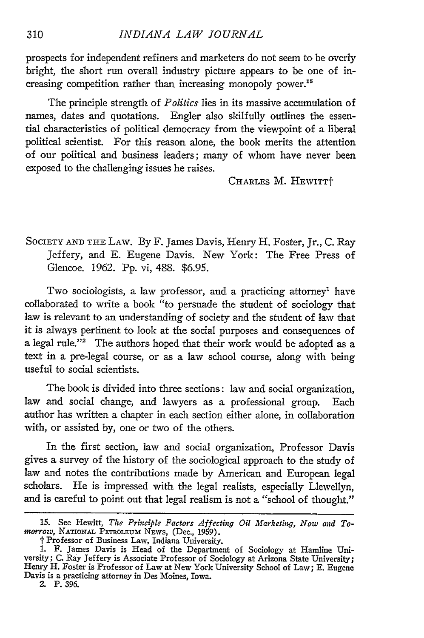SOCIETY AND THE LAW. By F. James Davis, Henry H. Foster, Jr., C. Ray Jeffery, and E. Eugene Davis. New York: The Free Press of Glencoe. 1962. Pp. vi, 488. \$6.95.

Two sociologists, a law professor, and a practicing attorney' have collaborated to write a book "to persuade the student of sociology that law is relevant to an understanding of society and the student of law that it is always pertinent to look at the social purposes and consequences of a legal rule."<sup>2</sup> The authors hoped that their work would be adopted as a text in a pre-legal course, or as a law school course, along with being useful to social scientists.

The book is divided into three sections: law and social organization, law and social change, and lawyers as a professional group. Each author has written a chapter in each section either alone, in collaboration with, or assisted by, one or two of the others.

In the first section, law and social organization, Professor Davis gives a survey of the history of the sociological approach to the study of law and notes the contributions made by American and European legal scholars. He is impressed with the legal realists, especially Llewellyn, and is careful to point out that legal realism is not a "school of thought."

2. P. 396.

**<sup>15.</sup>** See Hewitt, *The Prhtciple Factors Affecting Oil Marketing, Now and Tomorrow*, NATIONAL PETROLEUM NEWS, (Dec., 1959).

*<sup>†</sup>* Professor of Business Law, Indiana University.<br>1. F. James Davis is Head of the Department of Sociology at Hamline University; C. Ray Jeffery is Associate Professor of Sociology at Arizona State University; Henry H. Foster is Professor of Law at New York University School of Law; E. Eugene Davis is a practicing attorney in Des Moines, Iowa.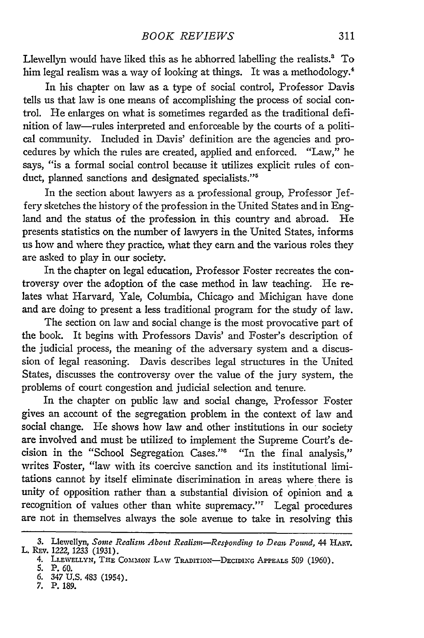Llewellyn would have liked this as he abhorred labelling the realists.' To him legal realism was a way of looking at things. It was a methodology.<sup>4</sup>

In his chapter on law as a type of social control, Professor Davis tells us that law is one means of accomplishing the process of social control. He enlarges on what is sometimes regarded as the traditional definition of law-rules interpreted and enforceable by the courts of a political community. Included in Davis' definition are the agencies and procedures by which the rules are created, applied and enforced. "Law," he says, "is a formal social control because it utilizes explicit rules of conduct, planned sanctions and designated specialists."<sup>5</sup>

In the section about lawyers as a professional group, Professor Jeffery sketches the history of the profession in the United States and in England and the status of the profession in this country and abroad. He presents statistics on the number of lawyers in the United States, informs us how and where they practice, what they earn and the various roles they are asked to play in our society.

In the chapter on legal education, Professor Foster recreates the controversy over the adoption of the case method in law teaching. He relates what Harvard, Yale, Columbia, Chicago and Michigan have done and are doing to present a less traditional program for the study of law.

The section on law and social change is the most provocative part of the book. It begins with Professors Davis' and Foster's description of the judicial process, the meaning of the adversary system and a discussion of legal reasoning. Davis describes legal structures in the United States, discusses the controversy over the value of the jury system, the problems of court congestion and judicial selection and tenure.

In the chapter on public law and social change, Professor Foster gives an account of the segregation problem in the context of law and social change. He shows how law and other institutions in our society are involved and must be utilized to implement the Supreme Court's decision in the "School Segregation Cases."<sup>6</sup> "In the final analysis," writes Foster, "law with its coercive sanction and its institutional limitations cannot by itself eliminate discrimination in areas where there is unity of opposition rather than a substantial division of opinion and a recognition of values other than white supremacy."' Legal procedures are not in themselves always the sole avenue to take in resolving this

<sup>3.</sup> Llewellyn, Some Realism About Realism-Responding to Dean Pound, 44 HARV. L. REV. **1222, 1233** (1931).

<sup>4.</sup> LLEWELLYN, THE COMMON LAW TRADITION-DECIDING APPEALS 509 (1960)

**<sup>5.</sup>** P. **60.**

<sup>6.</sup> 347 U.S. 483 (1954).

**<sup>7.</sup>** P. **189.**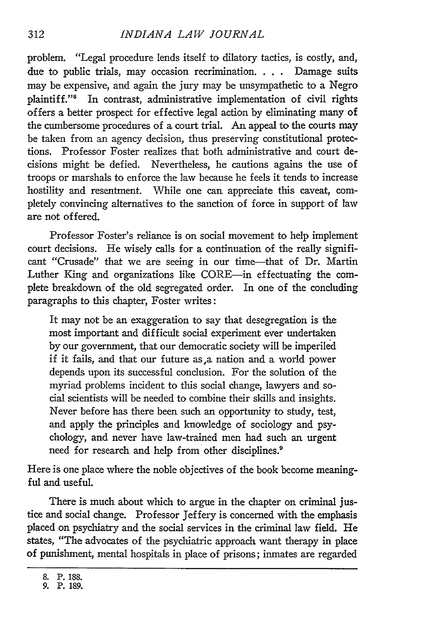#### *INDIANA LAW JOURNAL*

problem. "Legal procedure lends itself to dilatory tactics, is costly, and, due to public trials, may occasion recrimination. . **.** . Damage suits may be expensive, and again the jury may be unsympathetic to a Negro plaintiff."<sup>8</sup> In contrast, administrative implementation of civil rights offers a better prospect for effective legal action by eliminating many of the cumbersome procedures of a court trial. An appeal to the courts may be taken from an agency decision, thus preserving constitutional protections. Professor Foster realizes that both administrative and court decisions might be defied. Nevertheless, he cautions agains the use of troops or marshals to enforce the law because he feels it tends to increase hostility and resentment. While one can appreciate this caveat, completely convincing alternatives to the sanction of force in support of law are not offered.

Professor Foster's reliance is on social movement to help implement court decisions. He wisely calls for a continuation of the really significant "Crusade" that we are seeing in our time-that of Dr. Martin Luther King and organizations like CORE-in effectuating the complete breakdown of the old segregated order. In one of the concluding paragraphs to this chapter, Foster writes:

It may not be an exaggeration to say that desegregation is the most important and difficult social experiment ever undertaken by our government, that our democratic society will be imperiled if it fails, and that our future as,a nation and a world power depends upon its successful conclusion. For the solution of the myriad problems incident to this social change, lawyers and social scientists will be needed to combine their skills and insights. Never before has there been such an opportunity to study, test, and apply the principles and knowledge of sociology and psychology, and never have law-trained men had such an urgent need for research and help from other disciplines.<sup>9</sup>

Here is one place where the noble objectives of the book become meaningful and useful.

There is much about which to argue in the chapter on criminal justice and social change. Professor Jeffery is concerned with the emphasis placed on psychiatry and the social services in the criminal law field. He states, "The advocates of the psychiatric approach want therapy in place of punishment, mental hospitals in place of prisons; inmates are regarded

**<sup>8.</sup>** P. **188.**

**<sup>9.</sup> P. 189.**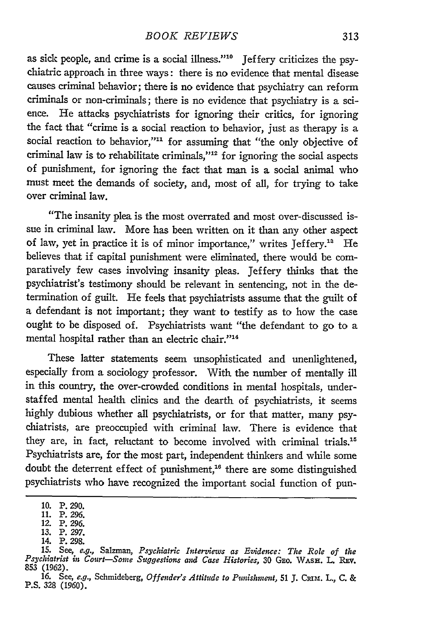as sick people, and crime is a social illness."'" Jeffery criticizes the psychiatric approach in three ways: there is no evidence that mental disease causes criminal behavior; there is no evidence that psychiatry can reform criminals or non-criminals; there is no evidence that psychiatry is a science. He attacks psychiatrists for ignoring their critics, for ignoring the fact that "crime is a social reaction to behavior, just as therapy is a social reaction to behavior,"<sup>11</sup> for assuming that "the only objective of criminal law is to rehabilitate criminals," $12$  for ignoring the social aspects of punishment, for ignoring the fact that man is a social animal who must meet the demands of society, and, most of all, for trying to take over criminal law.

"The insanity plea is the most overrated and most over-discussed issue in criminal law. More has been written on it than any other aspect of law, yet in practice it is of minor importance," writes Jeffery." He believes that if capital punishment were eliminated, there would be comparatively few cases involving insanity pleas. Jeffery thinks that the psychiatrist's testimony should be relevant in sentencing, not in the determination of guilt. He feels that psychiatrists assume that the guilt of a defendant is not important; they want to testify as to how the case ought to be disposed of. Psychiatrists want "the defendant to go to a mental hospital rather than an electric chair."<sup>14</sup>

These latter statements seem unsophisticated and unenlightened, especially from a sociology professor. With the number of mentally ill in this country, the over-crowded conditions in mental hospitals, understaffed mental health clinics and the dearth of psychiatrists, it seems highly dubious whether all psychiatrists, or for that matter, many psychiatrists, are preoccupied with criminal law. There is evidence that they are, in fact, reluctant to become involved with criminal trials.<sup>15</sup> Psychiatrists are, for the most part, independent thinkers and while some doubt the deterrent effect of punishment,<sup>16</sup> there are some distinguished psychiatrists who have recognized the important social function of pun-

**<sup>10.</sup>** P. 290.

<sup>11.</sup> P. 296.

<sup>12.</sup> P. 296. 13. P. 297.

<sup>14.</sup> P. 298.

**<sup>15.</sup>** See, e.g., Salzman, *Psychiatric Interviews as Evidence: The Role of the Psychiatrist in Court-Some Suggestions and Case Histories,* **30** GEo. WASH. L. **REV. 853 (1962).**

<sup>16.</sup> See, e.g., Schmideberg, Offender's Attitude to Punishment, 51 J. CRIM. L., C. & P.S. 328 (1960).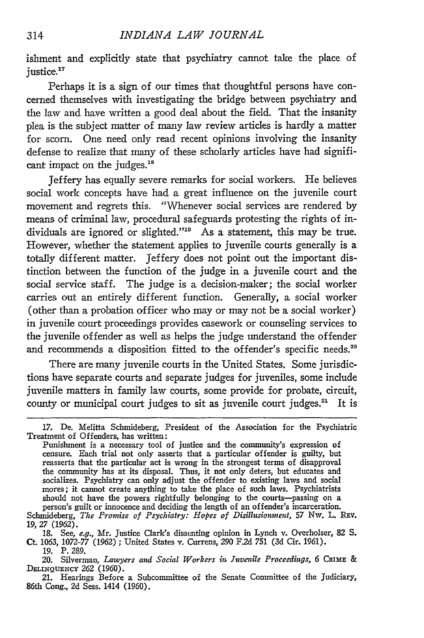ishment and explicitly state that psychiatry cannot take the place of justice.<sup>17</sup>

Perhaps it is a sign of our times that thoughtful persons have concerned themselves with investigating the bridge between psychiatry and the law and have written a good deal about the field. That the insanity plea is the subject matter of many law review articles is hardly a matter for scorn. One need only read recent opinions involving the insanity defense to realize that many of these scholarly articles have had significant impact on the judges.<sup>18</sup>

Jeffery has equally severe remarks for social workers. He believes social work concepts have had a great influence on the juvenile court movement and regrets this. "Whenever social services are rendered by means of criminal law, procedural safeguards protesting the rights of individuals are ignored or slighted." $19$  As a statement, this may be true. However, whether the statement applies to juvenile courts generally is a totally different matter. Jeffery does not point out the important distinction between the function of the judge in a juvenile court and the social service staff. The judge is a decision-maker; the social worker carries out an entirely different function. Generally, a social worker (other than a probation officer who may or may not be a social worker) in juvenile court proceedings provides casework or counseling services to the juvenile offender as well as helps the judge understand the offender and recommends a disposition fitted to the offender's specific needs.<sup>21</sup>

There are many juvenile courts in the United States. Some jurisdictions have separate courts and separate judges for juveniles, some include juvenile matters in family law courts, some provide for probate, circuit, county or municipal court judges to sit as juvenile court judges.<sup>21</sup> It is

<sup>17.</sup> De. Melitta Schmideberg, President of the Association for the Psychiatric Treatment of Offenders, has written:

Punishment is a necessary tool of justice and the community's expression of censure. Each trial not only asserts that a particular offender is guilty, but reasserts that the particular act is wrong in the strongest terms of disapproval the community has at its disposal. Thus, it not only deters, but educates and socializes. Psychiatry can only adjust the offender to existing laws and social mores; it cannot create anything to take the place of such laws. Psychiatrists should not have the powers rightfully belonging to the courts-passing on a person's guilt or innocence and deciding the length of an offender's incarceration.

Schmideberg, *The Promise of Psychiatry: Hopes of Disillusionment,* 57 Nw. L. REv. 19,27 (1962).

<sup>18.</sup> See, *e.g.,* Mr. Justice Clark's dissenting opinion in Lynch v. Overholser, **82 S.** Ct. 1063, 1072-77 (1962) ; United States v. Currens, 290 F.2d 751 (3d Cir. 1961).

<sup>19.</sup> P. 289.

<sup>20.</sup> Silverman, *Lawyers and Social Workers in Juvenile Proceedings, 6* CRIME & **DELiNQuENcY 262** (1960). 21. Hearings Before a Subcommittee of the Senate Committee of the Judiciary,

<sup>86</sup>th Cong., **2d** Sess. 1414 (1960).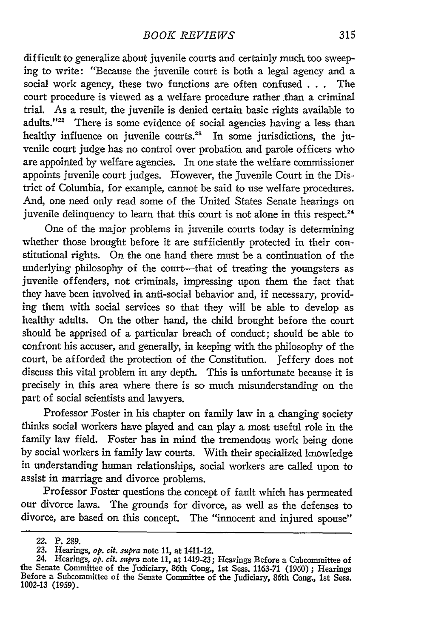difficult to generalize about juvenile courts and certainly much too sweeping to write: "Because the juvenile court is both a legal agency and a social work agency, these two functions are often confused . . . The court procedure is viewed as a welfare procedure rather than a criminal trial. As a result, the juvenile is denied certain basic rights available to adults."<sup>22</sup> There is some evidence of social agencies having a less than healthy influence on juvenile courts.<sup>23</sup> In some jurisdictions, the juvenile court judge has no control over probation and parole officers who are appointed by welfare agencies. In one state the welfare commissioner appoints juvenile court judges. However, the Juvenile Court in the District of Columbia, for example, cannot be said to use welfare procedures. And, one need only read some of the United States Senate hearings on juvenile delinquency to learn that this court is not alone in this respect.<sup>24</sup>

One of the major problems in juvenile courts today is determining whether those brought before it are sufficiently protected in their constitutional rights. On the one hand there must be a continuation of the underlying philosophy of the court-----that of treating the youngsters as juvenile offenders, not criminals, impressing upon them the fact that they have been involved in anti-social behavior and, if necessary, providing them with social services so that they will be able to develop as healthy adults. On the other hand, the child brought before the court should be apprised of a particular breach of conduct; should be able to confront his accuser, and generally, in keeping with the philosophy of the court, be afforded the protection of the Constitution. Jeffery does not discuss this vital problem in any depth. This is unfortunate because it is precisely in this area where there is so much misunderstanding on the part of social scientists and lawyers.

Professor Foster in his chapter on family law in a changing society thinks social workers have played and can play a most useful role in the family law field. Foster has in mind the tremendous work being done by social workers in family law courts. With their specialized knowledge in understanding human relationships, social workers are called upon to assist in marriage and divorce problems.

Professor Foster questions the concept of fault which has permeated our divorce laws. The grounds for divorce, as well as the defenses to divorce, are based on this concept. The "innocent and injured spouse"

**<sup>22.</sup> P. 289.**

<sup>23.</sup> Hearings, *op. cit.* supra note 11, at 1411-12.

<sup>24.</sup> Hearings, *op. cit. supra* note **11,** at 1419-23; Hearings Before a Cubcommittee of the Senate Committee of the Judiciary, 86th Cong., 1st Sess. 1163-71 (1960) ; Hearings<br>Before a Subcommittee of the Senate Committee of the Judiciary, 86th Cong., 1st Sess. **1002-13 (1959).**